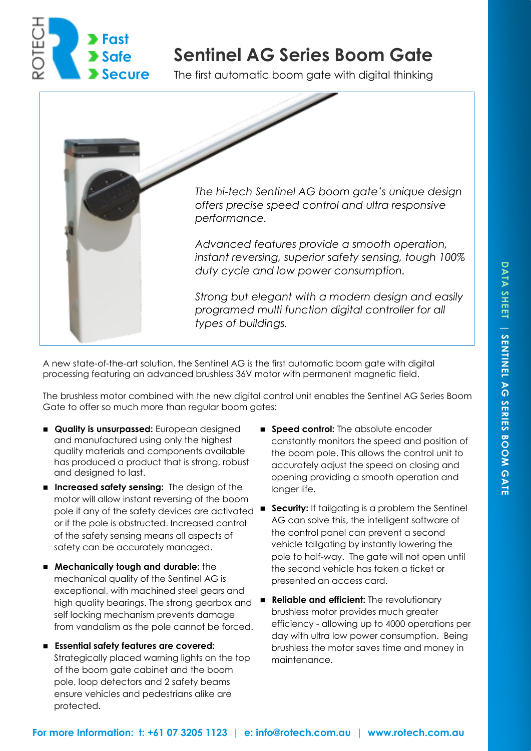

## **Sentinel AG Series Boom Gate**

The first automatic boom gate with digital thinking



A new state-of-the-art solution, the Sentinel AG is the first automatic boom gate with digital processing featuring an advanced brushless 36V motor with permanent magnetic field.

The brushless motor combined with the new digital control unit enables the Sentinel AG Series Boom Gate to offer so much more than regular boom gates:

- **Quality is unsurpassed:** European designed and manufactured using only the highest quality materials and components available has produced a product that is strong, robust and designed to last.
- **Increased safety sensing:** The design of the motor will allow instant reversing of the boom or if the pole is obstructed. Increased control of the safety sensing means all aspects of safety can be accurately managed.
- **Mechanically tough and durable:** the mechanical quality of the Sentinel AG is exceptional, with machined steel gears and high quality bearings. The strong gearbox and self locking mechanism prevents damage from vandalism as the pole cannot be forced.
- **Essential safety features are covered:**  Strategically placed warning lights on the top of the boom gate cabinet and the boom pole, loop detectors and 2 safety beams ensure vehicles and pedestrians alike are protected.
- **Speed control:** The absolute encoder constantly monitors the speed and position of the boom pole. This allows the control unit to accurately adjust the speed on closing and opening providing a smooth operation and longer life.
- pole if any of the safety devices are activated **Security:** If tailgating is a problem the Sentinel AG can solve this, the intelligent software of the control panel can prevent a second vehicle tailgating by instantly lowering the pole to half-way. The gate will not open until the second vehicle has taken a ticket or presented an access card.
	- **Reliable and efficient:** The revolutionary brushless motor provides much greater efficiency - allowing up to 4000 operations per day with ultra low power consumption. Being brushless the motor saves time and money in maintenance.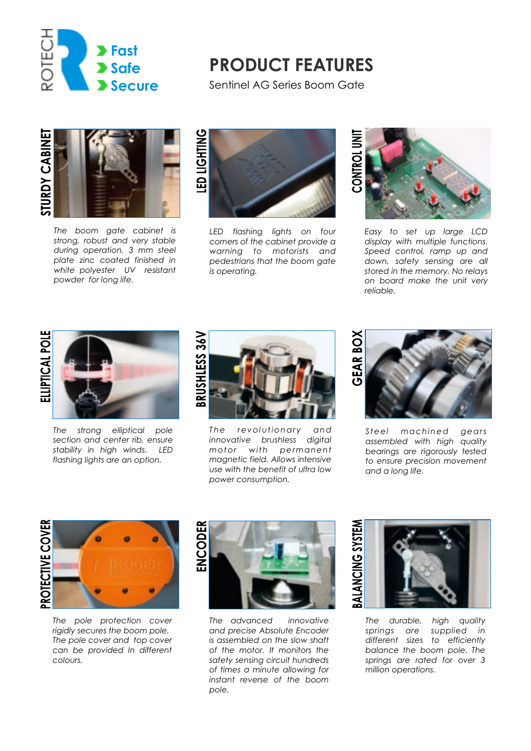

### **PRODUCT FEATURES**

Sentinel AG Series Boom Gate



*The boom gate cabinet is strong, robust and very stable during operation. 3 mm steel plate zinc coated finished in white polyester UV resistant powder for long life.* 



*LED flashing lights on four corners of the cabinet provide a warning to motorists and pedestrians that the boom gate is operating.* 



*Easy to set up large LCD display with multiple functions. Speed control, ramp up and down, safety sensing are all stored in the memory. No relays on board make the unit very reliable.* 

# **ELLIPTICAL POLE**



*The strong elliptical pole section and center rib, ensure stability in high winds. LED flashing lights are an option.* 



The revolutionary and *innovative brushless digital mot or with permanent magnetic field. Allows intensive use with the benefit of ultra low power consumption.* 



*St eel mac hined gears assembled with high quality bearings are rigorously tested to ensure precision movement and a long life.* 



*The pole protection cover rigidly secures the boom pole. The pole cover and top cover can be provided In different colours.* 



*The advanced innovative and precise Absolute Encoder is assembled on the slow shaft of the motor. It monitors the safety sensing circuit hundreds of times a minute allowing for instant reverse of the boom pole.* 



*The durable, high quality springs are supplied in different sizes to efficiently balance the boom pole. The springs are rated for over 3 million operations.*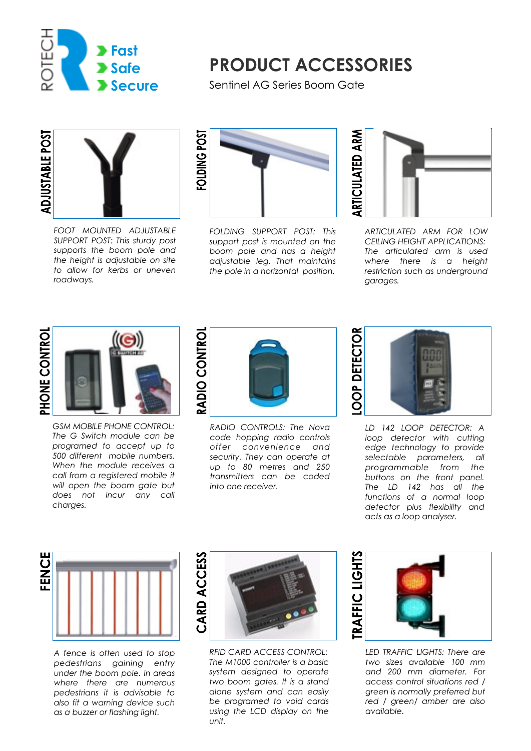

## **PRODUCT ACCESSORIES**

Sentinel AG Series Boom Gate



*FOOT MOUNTED ADJUSTABLE SUPPORT POST: This sturdy post supports the boom pole and the height is adjustable on site to allow for kerbs or uneven roadways.* 



*FOLDING SUPPORT POST: This support post is mounted on the boom pole and has a height adjustable leg. That maintains the pole in a horizontal position.* 



*ARTICULATED ARM FOR LOW CEILING HEIGHT APPLICATIONS: The articulated arm is used where there is a height restriction such as underground garages.* 





*GSM MOBILE PHONE CONTROL: The G Switch module can be programed to accept up to 500 different mobile numbers. When the module receives a call from a registered mobile it will open the boom gate but does not incur any call charges.* 



*RADIO CONTROLS: The Nova code hopping radio controls offer convenience and security. They can operate at up to 80 metres and 250 transmitters can be coded into one receiver.* 



*LD 142 LOOP DETECTOR: A loop detector with cutting edge technology to provide selectable parameters, all programmable from the buttons on the front panel. The LD 142 has all the functions of a normal loop detector plus flexibility and acts as a loop analyser.* 



*A fence is often used to stop pedestrians gaining entry under the boom pole. In areas where there are numerous pedestrians it is advisable to also fit a warning device such as a buzzer or flashing light.* 



*RFID CARD ACCESS CONTROL: The M1000 controller is a basic system designed to operate two boom gates. It is a stand alone system and can easily be programed to void cards using the LCD display on the unit.* 



*LED TRAFFIC LIGHTS: There are two sizes available 100 mm and 200 mm diameter. For access control situations red / green is normally preferred but red / green/ amber are also available.*